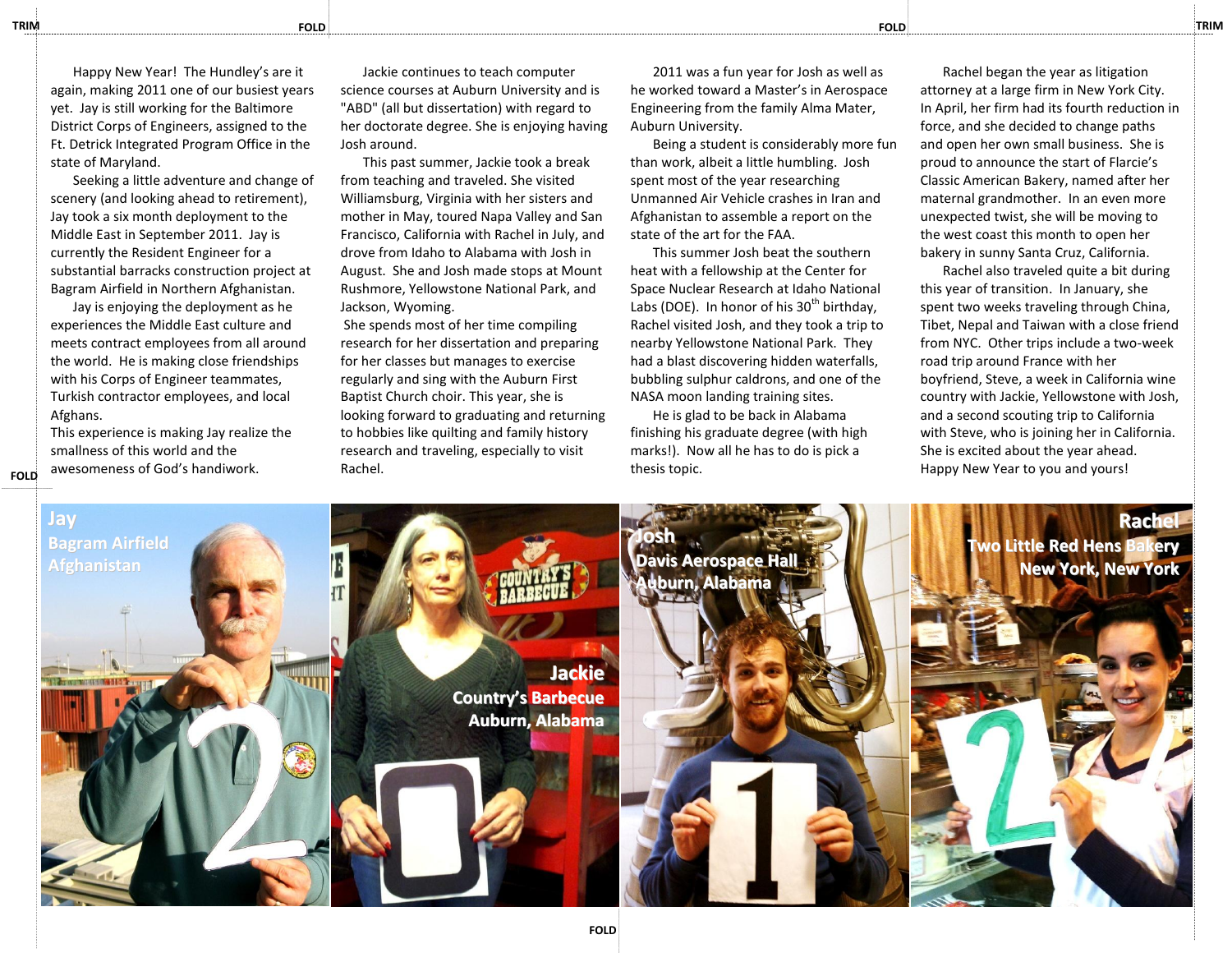Happy New Year! The Hundley's are it again, making 2011 one of our busiest years yet. Jay is still working for the Baltimore District Corps of Engineers, assigned to the Ft. Detrick Integrated Program Office in the state of Maryland.

Seeking a little adventure and change of scenery (and looking ahead to retirement), Jay took a six month deployment to the Middle East in September 2011. Jay is currently the Resident Engineer for a substantial barracks construction project at Bagram Airfield in Northern Afghanistan.

Jay is enjoying the deployment as he experiences the Middle East culture and meets contract employees from all around the world. He is making close friendships with his Corps of Engineer teammates, Turkish contractor employees, and local Afghans.

This experience is making Jay realize the smallness of this world and the awesomeness of God's handiwork.

**FOLD**

Jackie continues to teach computer science courses at Auburn University and is "ABD" (all but dissertation) with regard to her doctorate degree. She is enjoying having Josh around.

This past summer, Jackie took a break from teaching and traveled. She visited Williamsburg, Virginia with her sisters and mother in May, toured Napa Valley and San Francisco, California with Rachel in July, and drove from Idaho to Alabama with Josh in August. She and Josh made stops at Mount Rushmore, Yellowstone National Park, and Jackson, Wyoming.

She spends most of her time compiling research for her dissertation and preparing for her classes but manages to exercise regularly and sing with the Auburn First Baptist Church choir. This year, she is looking forward to graduating and returning to hobbies like quilting and family history research and traveling, especially to visit Rachel.

2011 was a fun year for Josh as well as he worked toward a Master's in Aerospace Engineering from the family Alma Mater, Auburn University.

Being a student is considerably more fun than work, albeit a little humbling. Josh spent most of the year researching Unmanned Air Vehicle crashes in Iran and Afghanistan to assemble a report on the state of the art for the FAA.

This summer Josh beat the southern heat with a fellowship at the Center for Space Nuclear Research at Idaho National Labs (DOE). In honor of his  $30<sup>th</sup>$  birthday. Rachel visited Josh, and they took a trip to nearby Yellowstone National Park. They had a blast discovering hidden waterfalls, bubbling sulphur caldrons, and one of the NASA moon landing training sites.

He is glad to be back in Alabama finishing his graduate degree (with high marks!). Now all he has to do is pick a thesis topic.

Rachel began the year as litigation attorney at a large firm in New York City. In April, her firm had its fourth reduction in force, and she decided to change paths and open her own small business. She is proud to announce the start of Flarcie's Classic American Bakery, named after her maternal grandmother. In an even more unexpected twist, she will be moving to the west coast this month to open her bakery in sunny Santa Cruz, California.

Rachel also traveled quite a bit during this year of transition. In January, she spent two weeks traveling through China, Tibet, Nepal and Taiwan with a close friend from NYC. Other trips include a two-week road trip around France with her boyfriend, Steve, a week in California wine country with Jackie, Yellowstone with Josh, and a second scouting trip to California with Steve, who is joining her in California. She is excited about the year ahead. Happy New Year to you and yours!